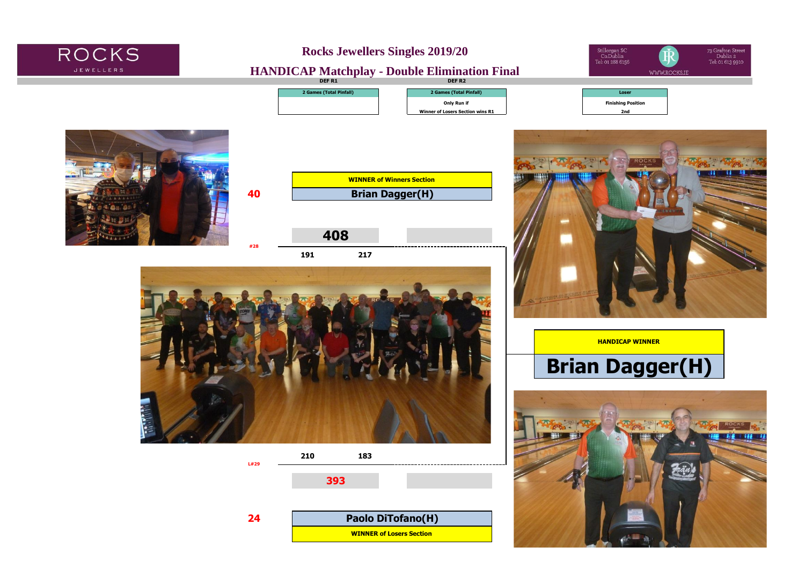

## **Rocks Jewellers Singles 2019/20**

## **DEF R1 DEF R2 HANDICAP Matchplay - Double Elimination Final**

**2 Games (Total Pinfall) 2 Games (Total Pinfall) Loser**

**Only Run if Constanting Position** *Winner of Losers Section wins* 









**210 183 393 L#29**

> **Paolo DiTofano(H) WINNER of Losers Section**



**HANDICAP WINNER** 

## **Brian Dagger(H)**



**24**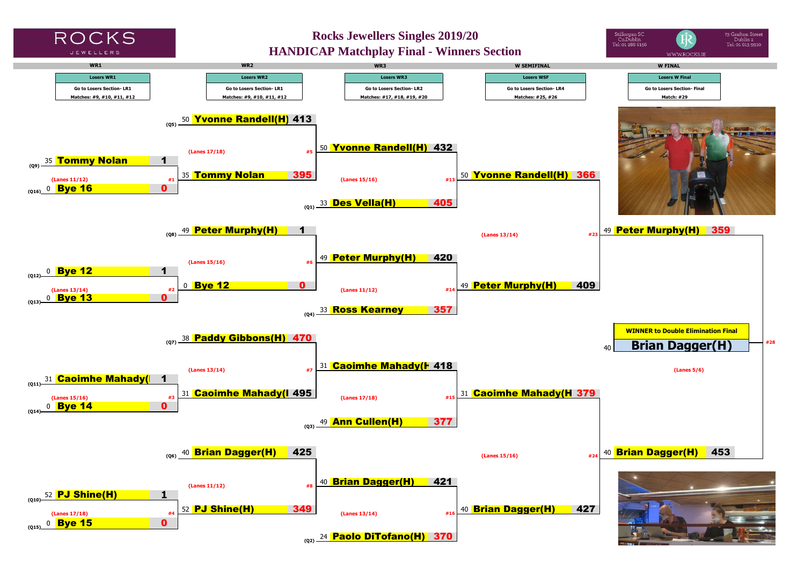